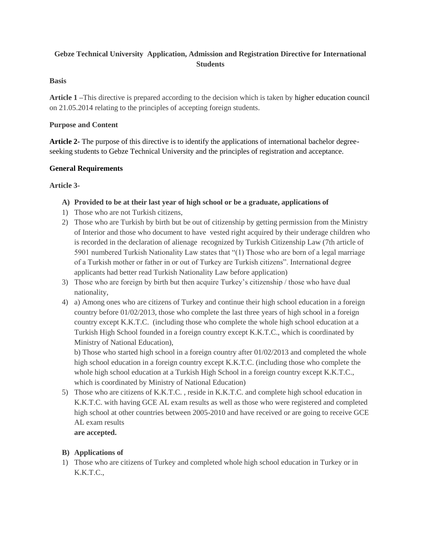# **Gebze Technical University Application, Admission and Registration Directive for International Students**

### **Basis**

**Article 1 –**This directive is prepared according to the decision which is taken by [higher education council](http://tureng.com/search/higher%20education%20council) on 21.05.2014 relating to the principles of accepting foreign students.

### **Purpose and Content**

**Article 2-** The purpose of this directive is to identify the applications of international bachelor degreeseeking students to Gebze Technical University and the principles of registration and acceptance.

### **General Requirements**

### **Article 3-**

# **A) Provided to be at their last year of high school or be a graduate, applications of**

- 1) Those who are not Turkish citizens,
- 2) Those who are Turkish by birth but be out of citizenship by getting permission from the Ministry of Interior and those who document to have vested right acquired by their underage children who is recorded in the [declaration of alienage](http://tureng.com/search/declaration%20of%20alienage) recognized by Turkish Citizenship Law (7th article of 5901 numbered Turkish Nationality Law states that "(1) Those who are born of a legal marriage of a Turkish mother or father in or out of Turkey are Turkish citizens". International degree applicants had better read Turkish Nationality Law before application)
- 3) Those who are foreign by birth but then acquire Turkey's citizenship / those who have dual nationality,
- 4) a) Among ones who are citizens of Turkey and continue their high school education in a foreign country before 01/02/2013, those who complete the last three years of high school in a foreign country except K.K.T.C. (including those who complete the whole high school education at a Turkish High School founded in a foreign country except K.K.T.C., which is coordinated by Ministry of National Education),

b) Those who started high school in a foreign country after 01/02/2013 and completed the whole high school education in a foreign country except K.K.T.C. (including those who complete the whole high school education at a Turkish High School in a foreign country except K.K.T.C., which is coordinated by Ministry of National Education)

5) Those who are citizens of K.K.T.C. , reside in K.K.T.C. and complete high school education in K.K.T.C. with having GCE AL exam results as well as those who were registered and completed high school at other countries between 2005-2010 and have received or are going to receive GCE AL exam results **are accepted.**

### **B) Applications of**

1) Those who are citizens of Turkey and completed whole high school education in Turkey or in K.K.T.C.,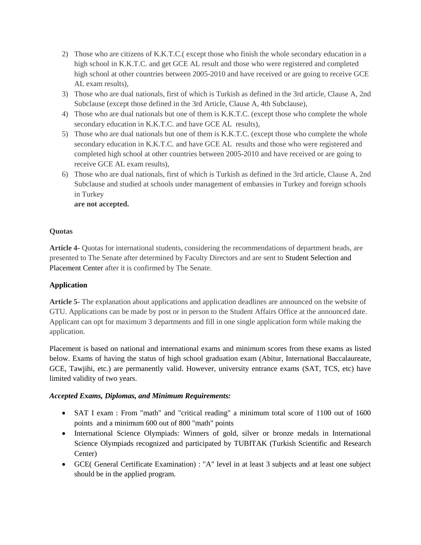- 2) Those who are citizens of K.K.T.C.( except those who finish the whole secondary education in a high school in K.K.T.C. and get GCE AL result and those who were registered and completed high school at other countries between 2005-2010 and have received or are going to receive GCE AL exam results),
- 3) Those who are dual nationals, first of which is Turkish as defined in the 3rd article, Clause A, 2nd Subclause (except those defined in the 3rd Article, Clause A, 4th Subclause),
- 4) Those who are dual nationals but one of them is K.K.T.C. (except those who complete the whole secondary education in K.K.T.C. and have GCE AL results),
- 5) Those who are dual nationals but one of them is K.K.T.C. (except those who complete the whole secondary education in K.K.T.C. and have GCE AL results and those who were registered and completed high school at other countries between 2005-2010 and have received or are going to receive GCE AL exam results),
- 6) Those who are dual nationals, first of which is Turkish as defined in the 3rd article, Clause A, 2nd Subclause and studied at schools under management of embassies in Turkey and foreign schools in Turkey

**are not accepted.**

### **Quotas**

**Article 4-** Quotas for international students, considering the recommendations of department heads, are presented to The Senate after determined by Faculty Directors and are sent to [Student Selection and](http://tureng.com/search/student%20selection%20and%20placement%20center)  [Placement Center](http://tureng.com/search/student%20selection%20and%20placement%20center) after it is confirmed by The Senate.

### **Application**

**Article 5-** The explanation about applications and application deadlines are announced on the website of GTU. Applications can be made by post or in person to the Student Affairs Office at the announced date. Applicant can opt for maximum 3 departments and fill in one single application form while making the application.

Placement is based on national and international exams and minimum scores from these exams as listed below. Exams of having the status of high school graduation exam (Abitur, International Baccalaureate, GCE, Tawjihi, etc.) are permanently valid. However, university entrance exams (SAT, TCS, etc) have limited validity of two years.

### *Accepted Exams, Diplomas, and Minimum Requirements:*

- SAT I exam : From "math" and "critical reading" a minimum total score of 1100 out of 1600 points and a minimum 600 out of 800 "math" points
- International Science Olympiads: Winners of gold, silver or bronze medals in International Science Olympiads recognized and participated by TUBITAK (Turkish Scientific and Research Center)
- GCE( General Certificate Examination) : "A" level in at least 3 subjects and at least one subject should be in the applied program.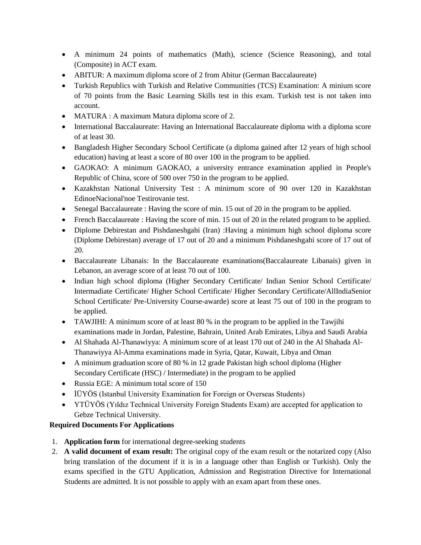- A minimum 24 points of mathematics (Math), science (Science Reasoning), and total (Composite) in ACT exam.
- ABITUR: A maximum diploma score of 2 from Abitur (German Baccalaureate)
- Turkish Republics with Turkish and Relative Communities (TCS) Examination: A minium score of 70 points from the Basic Learning Skills test in this exam. Turkish test is not taken into account.
- MATURA : A maximum Matura diploma score of 2.
- International Baccalaureate: Having an International Baccalaureate diploma with a diploma score of at least 30.
- Bangladesh Higher Secondary School Certificate (a diploma gained after 12 years of high school education) having at least a score of 80 over 100 in the program to be applied.
- GAOKAO: A minimum GAOKAO, a university entrance examination applied in People's Republic of China, score of 500 over 750 in the program to be applied.
- Kazakhstan National University Test : A minimum score of 90 over 120 in Kazakhstan EdinoeNacional'noe Testirovanie test.
- Senegal Baccalaureate : Having the score of min. 15 out of 20 in the program to be applied.
- French Baccalaureate: Having the score of min. 15 out of 20 in the related program to be applied.
- Diplome Debirestan and Pishdaneshgahi (Iran) :Having a minimum high school diploma score (Diplome Debirestan) average of 17 out of 20 and a minimum Pishdaneshgahi score of 17 out of 20.
- Baccalaureate Libanais: In the Baccalaureate examinations(Baccalaureate Libanais) given in Lebanon, an average score of at least 70 out of 100.
- Indian high school diploma (Higher Secondary Certificate/ Indian Senior School Certificate/ Intermadiate Certificate/ Higher School Certificate/ Higher Secondary Certificate/AllIndiaSenior School Certificate/ Pre-University Course-awarde) score at least 75 out of 100 in the program to be applied.
- TAWJIHI: A minimum score of at least 80 % in the program to be applied in the Tawjihi examinations made in Jordan, Palestine, Bahrain, United Arab Emirates, Libya and Saudi Arabia
- Al Shahada Al-Thanawiyya: A minimum score of at least 170 out of 240 in the Al Shahada Al-Thanawiyya Al-Amma examinations made in Syria, Qatar, Kuwait, Libya and Oman
- A minimum graduation score of 80 % in 12 grade Pakistan high school diploma (Higher Secondary Certificate (HSC) / Intermediate) in the program to be applied
- Russia EGE: A minimum total score of 150
- IÜYÖS (Istanbul University Examination for Foreign or Overseas Students)
- YTÜYÖS (Yıldız Technical University Foreign Students Exam) are accepted for application to Gebze Technical University.

# **Required Documents For Applications**

- 1. **Application form** for international degree-seeking students
- 2. **A valid document of exam result:** The original copy of the exam result or the notarized copy (Also bring translation of the document if it is in a language other than English or Turkish). Only the exams specified in the GTU Application, Admission and Registration Directive for International Students are admitted. It is not possible to apply with an exam apart from these ones.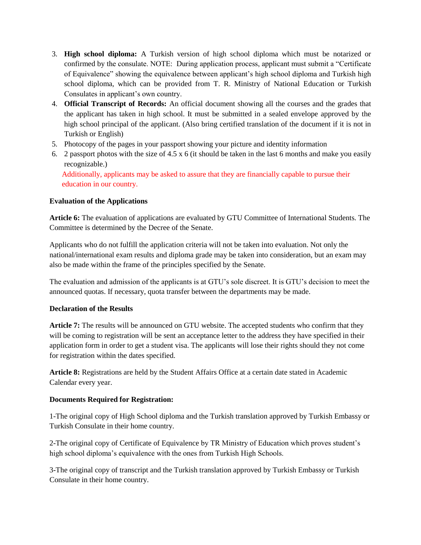- 3. **High school diploma:** A Turkish version of high school diploma which must be notarized or confirmed by the consulate. NOTE: During application process, applicant must submit a "Certificate of Equivalence" showing the equivalence between applicant's high school diploma and Turkish high school diploma, which can be provided from T. R. Ministry of National Education or Turkish Consulates in applicant's own country.
- 4. **Official Transcript of Records:** An official document showing all the courses and the grades that the applicant has taken in high school. It must be submitted in a sealed envelope approved by the high school principal of the applicant. (Also bring certified translation of the document if it is not in Turkish or English)
- 5. Photocopy of the pages in your passport showing your picture and identity information
- 6. 2 passport photos with the size of 4.5 x 6 (it should be taken in the last 6 months and make you easily recognizable.)

Additionally, applicants may be asked to assure that they are financially capable to pursue their education in our country.

### **Evaluation of the Applications**

**Article 6:** The evaluation of applications are evaluated by GTU Committee of International Students. The Committee is determined by the Decree of the Senate.

Applicants who do not fulfill the application criteria will not be taken into evaluation. Not only the national/international exam results and diploma grade may be taken into consideration, but an exam may also be made within the frame of the principles specified by the Senate.

The evaluation and admission of the applicants is at GTU's sole discreet. It is GTU's decision to meet the announced quotas. If necessary, quota transfer between the departments may be made.

### **Declaration of the Results**

**Article 7:** The results will be announced on GTU website. The accepted students who confirm that they will be coming to registration will be sent an acceptance letter to the address they have specified in their application form in order to get a student visa. The applicants will lose their rights should they not come for registration within the dates specified.

**Article 8:** Registrations are held by the Student Affairs Office at a certain date stated in Academic Calendar every year.

### **Documents Required for Registration:**

1-The original copy of High School diploma and the Turkish translation approved by Turkish Embassy or Turkish Consulate in their home country.

2-The original copy of Certificate of Equivalence by TR Ministry of Education which proves student's high school diploma's equivalence with the ones from Turkish High Schools.

3-The original copy of transcript and the Turkish translation approved by Turkish Embassy or Turkish Consulate in their home country.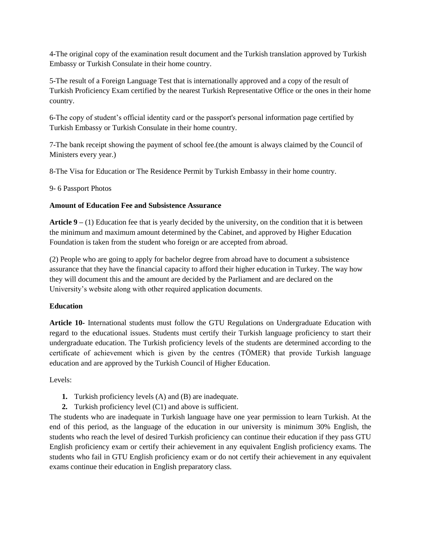4-The original copy of the examination result document and the Turkish translation approved by Turkish Embassy or Turkish Consulate in their home country.

5-The result of a Foreign Language Test that is internationally approved and a copy of the result of Turkish Proficiency Exam certified by the nearest Turkish Representative Office or the ones in their home country.

6-The copy of student's official identity card or the passport's personal information page certified by Turkish Embassy or Turkish Consulate in their home country.

7-The bank receipt showing the payment of school fee.(the amount is always claimed by the Council of Ministers every year.)

8-The Visa for Education or The Residence Permit by Turkish Embassy in their home country.

9- 6 Passport Photos

#### **Amount of Education Fee and Subsistence Assurance**

**Article**  $9 - (1)$  **Education fee that is yearly decided by the university, on the condition that it is between** the minimum and maximum amount determined by the Cabinet, and approved by Higher Education Foundation is taken from the student who foreign or are accepted from abroad.

(2) People who are going to apply for bachelor degree from abroad have to document a subsistence assurance that they have the financial capacity to afford their higher education in Turkey. The way how they will document this and the amount are decided by the Parliament and are declared on the University's website along with other required application documents.

#### **Education**

**Article 10-** International students must follow the GTU Regulations on Undergraduate Education with regard to the educational issues. Students must certify their Turkish language proficiency to start their undergraduate education. The Turkish proficiency levels of the students are determined according to the certificate of achievement which is given by the centres (TÖMER) that provide Turkish language education and are approved by the Turkish Council of Higher Education.

Levels:

- **1.** Turkish proficiency levels (A) and (B) are inadequate.
- **2.** Turkish proficiency level (C1) and above is sufficient.

The students who are inadequate in Turkish language have one year permission to learn Turkish. At the end of this period, as the language of the education in our university is minimum 30% English, the students who reach the level of desired Turkish proficiency can continue their education if they pass GTU English proficiency exam or certify their achievement in any equivalent English proficiency exams. The students who fail in GTU English proficiency exam or do not certify their achievement in any equivalent exams continue their education in English preparatory class.